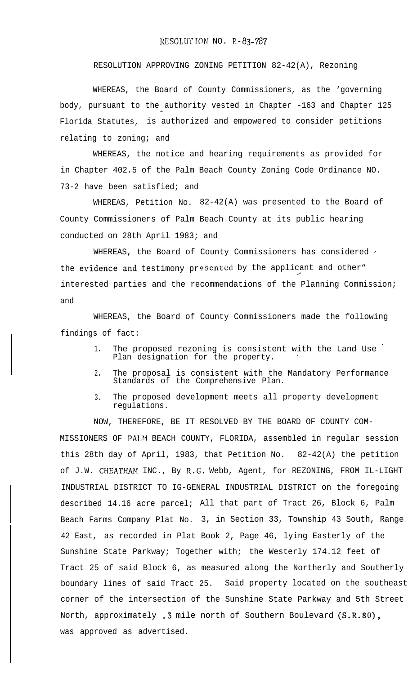## RESOLUTION NO. R-83-787

## RESOLUTION APPROVING ZONING PETITION 82-42(A), Rezoning

WHEREAS, the Board of County Commissioners, as the 'governing body, pursuant to the authority vested in Chapter -163 and Chapter 125 Florida Statutes, is authorized and empowered to consider petitions relating to zoning; and

WHEREAS, the notice and hearing requirements as provided for in Chapter 402.5 of the Palm Beach County Zoning Code Ordinance NO. 73-2 have been satisfied; and

WHEREAS, Petition No. 82-42(A) was presented to the Board of County Commissioners of Palm Beach County at its public hearing conducted on 28th April 1983; and

WHEREAS, the Board of County Commissioners has considered the evidence and testimony presented by the applicant and other" interested parties and the recommendations of the Planning Commission; and

WHEREAS, the Board of County Commissioners made the following findings of fact:

- 1. The proposed rezoning is consistent with the Land Use Plan designation for the property.
- 2. The proposal is consistent with the Mandatory Performance Standards of the Comprehensive Plan.
- 3. The proposed development meets all property development regulations.

NOW, THEREFORE, BE IT RESOLVED BY THE BOARD OF COUNTY COM-MISSIONERS OF PALM BEACH COUNTY, FLORIDA, assembled in regular session this 28th day of April, 1983, that Petition No. 82-42(A) the petition of J.W. CHEATHAM INC., By R.G; Webb, Agent, for REZONING, FROM IL-LIGHT INDUSTRIAL DISTRICT TO IG-GENERAL INDUSTRIAL DISTRICT on the foregoing described 14.16 acre parcel; All that part of Tract 26, Block 6, Palm Beach Farms Company Plat No. 3, in Section 33, Township 43 South, Range 42 East, as recorded in Plat Book 2, Page 46, lying Easterly of the Sunshine State Parkway; Together with; the Westerly 174.12 feet of Tract 25 of said Block 6, as measured along the Northerly and Southerly boundary lines of said Tract 25. Said property located on the southeast corner of the intersection of the Sunshine State Parkway and 5th Street North, approximately .3 mile north of Southern Boulevard (S.R.80), was approved as advertised.